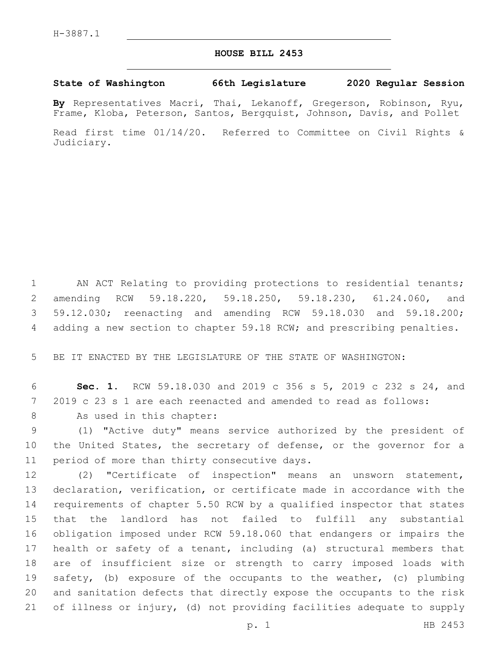## **HOUSE BILL 2453**

## **State of Washington 66th Legislature 2020 Regular Session**

**By** Representatives Macri, Thai, Lekanoff, Gregerson, Robinson, Ryu, Frame, Kloba, Peterson, Santos, Bergquist, Johnson, Davis, and Pollet

Read first time 01/14/20. Referred to Committee on Civil Rights & Judiciary.

 AN ACT Relating to providing protections to residential tenants; amending RCW 59.18.220, 59.18.250, 59.18.230, 61.24.060, and 59.12.030; reenacting and amending RCW 59.18.030 and 59.18.200; adding a new section to chapter 59.18 RCW; and prescribing penalties.

BE IT ENACTED BY THE LEGISLATURE OF THE STATE OF WASHINGTON:

 **Sec. 1.** RCW 59.18.030 and 2019 c 356 s 5, 2019 c 232 s 24, and 2019 c 23 s 1 are each reenacted and amended to read as follows:

8 As used in this chapter:

 (1) "Active duty" means service authorized by the president of 10 the United States, the secretary of defense, or the governor for a 11 period of more than thirty consecutive days.

 (2) "Certificate of inspection" means an unsworn statement, declaration, verification, or certificate made in accordance with the requirements of chapter 5.50 RCW by a qualified inspector that states that the landlord has not failed to fulfill any substantial obligation imposed under RCW 59.18.060 that endangers or impairs the health or safety of a tenant, including (a) structural members that are of insufficient size or strength to carry imposed loads with safety, (b) exposure of the occupants to the weather, (c) plumbing and sanitation defects that directly expose the occupants to the risk of illness or injury, (d) not providing facilities adequate to supply

p. 1 HB 2453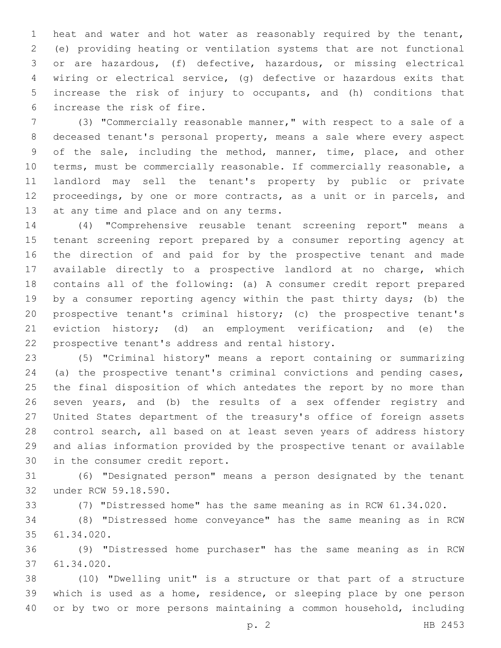heat and water and hot water as reasonably required by the tenant, (e) providing heating or ventilation systems that are not functional or are hazardous, (f) defective, hazardous, or missing electrical wiring or electrical service, (g) defective or hazardous exits that increase the risk of injury to occupants, and (h) conditions that 6 increase the risk of fire.

 (3) "Commercially reasonable manner," with respect to a sale of a deceased tenant's personal property, means a sale where every aspect of the sale, including the method, manner, time, place, and other terms, must be commercially reasonable. If commercially reasonable, a landlord may sell the tenant's property by public or private proceedings, by one or more contracts, as a unit or in parcels, and 13 at any time and place and on any terms.

 (4) "Comprehensive reusable tenant screening report" means a tenant screening report prepared by a consumer reporting agency at the direction of and paid for by the prospective tenant and made available directly to a prospective landlord at no charge, which contains all of the following: (a) A consumer credit report prepared by a consumer reporting agency within the past thirty days; (b) the prospective tenant's criminal history; (c) the prospective tenant's eviction history; (d) an employment verification; and (e) the 22 prospective tenant's address and rental history.

 (5) "Criminal history" means a report containing or summarizing (a) the prospective tenant's criminal convictions and pending cases, the final disposition of which antedates the report by no more than seven years, and (b) the results of a sex offender registry and United States department of the treasury's office of foreign assets control search, all based on at least seven years of address history and alias information provided by the prospective tenant or available 30 in the consumer credit report.

 (6) "Designated person" means a person designated by the tenant 32 under RCW 59.18.590.

(7) "Distressed home" has the same meaning as in RCW 61.34.020.

 (8) "Distressed home conveyance" has the same meaning as in RCW 61.34.020.35

 (9) "Distressed home purchaser" has the same meaning as in RCW 61.34.020.37

 (10) "Dwelling unit" is a structure or that part of a structure which is used as a home, residence, or sleeping place by one person or by two or more persons maintaining a common household, including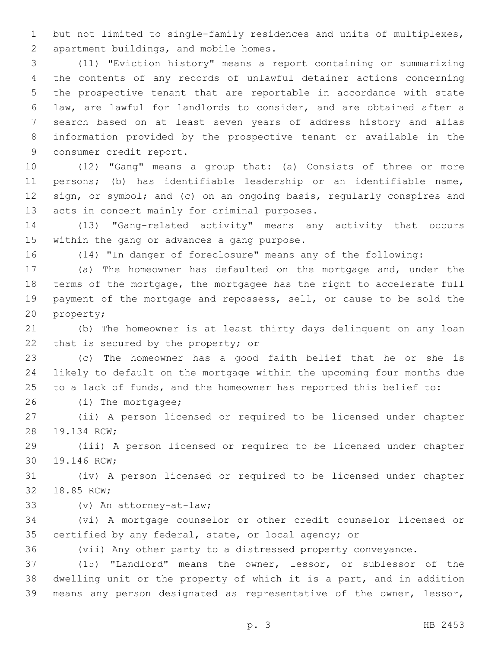but not limited to single-family residences and units of multiplexes, 2 apartment buildings, and mobile homes.

 (11) "Eviction history" means a report containing or summarizing the contents of any records of unlawful detainer actions concerning the prospective tenant that are reportable in accordance with state law, are lawful for landlords to consider, and are obtained after a search based on at least seven years of address history and alias information provided by the prospective tenant or available in the 9 consumer credit report.

 (12) "Gang" means a group that: (a) Consists of three or more persons; (b) has identifiable leadership or an identifiable name, 12 sign, or symbol; and (c) on an ongoing basis, regularly conspires and 13 acts in concert mainly for criminal purposes.

 (13) "Gang-related activity" means any activity that occurs 15 within the gang or advances a gang purpose.

(14) "In danger of foreclosure" means any of the following:

 (a) The homeowner has defaulted on the mortgage and, under the terms of the mortgage, the mortgagee has the right to accelerate full payment of the mortgage and repossess, sell, or cause to be sold the 20 property;

 (b) The homeowner is at least thirty days delinquent on any loan 22 that is secured by the property; or

 (c) The homeowner has a good faith belief that he or she is likely to default on the mortgage within the upcoming four months due to a lack of funds, and the homeowner has reported this belief to:

26 (i) The mortgagee;

 (ii) A person licensed or required to be licensed under chapter 28 19.134 RCW;

 (iii) A person licensed or required to be licensed under chapter 30 19.146 RCW;

 (iv) A person licensed or required to be licensed under chapter 32 18.85 RCW;

(v) An attorney-at-law;33

 (vi) A mortgage counselor or other credit counselor licensed or certified by any federal, state, or local agency; or

(vii) Any other party to a distressed property conveyance.

 (15) "Landlord" means the owner, lessor, or sublessor of the dwelling unit or the property of which it is a part, and in addition means any person designated as representative of the owner, lessor,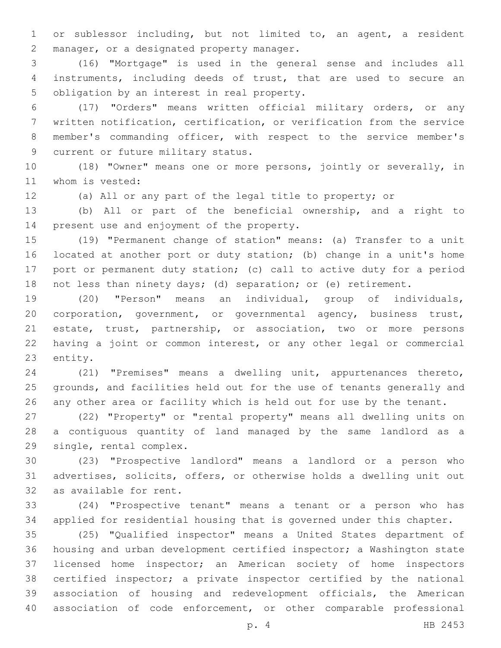or sublessor including, but not limited to, an agent, a resident 2 manager, or a designated property manager.

 (16) "Mortgage" is used in the general sense and includes all instruments, including deeds of trust, that are used to secure an 5 obligation by an interest in real property.

 (17) "Orders" means written official military orders, or any written notification, certification, or verification from the service member's commanding officer, with respect to the service member's 9 current or future military status.

 (18) "Owner" means one or more persons, jointly or severally, in 11 whom is vested:

(a) All or any part of the legal title to property; or

 (b) All or part of the beneficial ownership, and a right to 14 present use and enjoyment of the property.

 (19) "Permanent change of station" means: (a) Transfer to a unit located at another port or duty station; (b) change in a unit's home port or permanent duty station; (c) call to active duty for a period not less than ninety days; (d) separation; or (e) retirement.

 (20) "Person" means an individual, group of individuals, corporation, government, or governmental agency, business trust, estate, trust, partnership, or association, two or more persons having a joint or common interest, or any other legal or commercial 23 entity.

 (21) "Premises" means a dwelling unit, appurtenances thereto, grounds, and facilities held out for the use of tenants generally and any other area or facility which is held out for use by the tenant.

 (22) "Property" or "rental property" means all dwelling units on a contiguous quantity of land managed by the same landlord as a 29 single, rental complex.

 (23) "Prospective landlord" means a landlord or a person who advertises, solicits, offers, or otherwise holds a dwelling unit out 32 as available for rent.

 (24) "Prospective tenant" means a tenant or a person who has applied for residential housing that is governed under this chapter.

 (25) "Qualified inspector" means a United States department of housing and urban development certified inspector; a Washington state licensed home inspector; an American society of home inspectors certified inspector; a private inspector certified by the national association of housing and redevelopment officials, the American association of code enforcement, or other comparable professional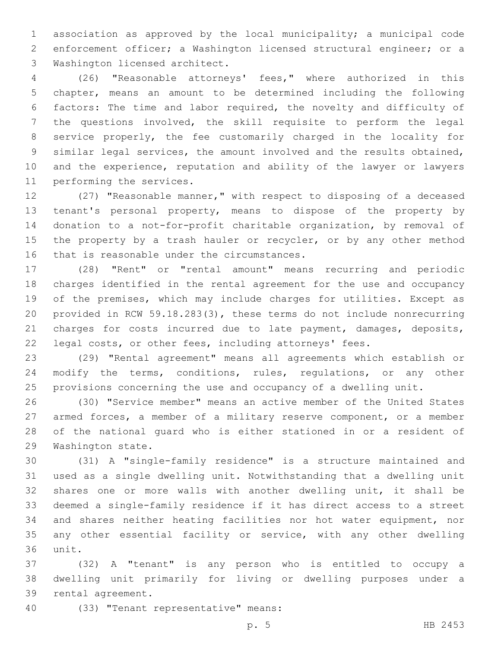association as approved by the local municipality; a municipal code enforcement officer; a Washington licensed structural engineer; or a 3 Washington licensed architect.

 (26) "Reasonable attorneys' fees," where authorized in this chapter, means an amount to be determined including the following factors: The time and labor required, the novelty and difficulty of the questions involved, the skill requisite to perform the legal service properly, the fee customarily charged in the locality for similar legal services, the amount involved and the results obtained, and the experience, reputation and ability of the lawyer or lawyers 11 performing the services.

 (27) "Reasonable manner," with respect to disposing of a deceased tenant's personal property, means to dispose of the property by donation to a not-for-profit charitable organization, by removal of 15 the property by a trash hauler or recycler, or by any other method 16 that is reasonable under the circumstances.

 (28) "Rent" or "rental amount" means recurring and periodic charges identified in the rental agreement for the use and occupancy of the premises, which may include charges for utilities. Except as provided in RCW 59.18.283(3), these terms do not include nonrecurring 21 charges for costs incurred due to late payment, damages, deposits, legal costs, or other fees, including attorneys' fees.

 (29) "Rental agreement" means all agreements which establish or modify the terms, conditions, rules, regulations, or any other provisions concerning the use and occupancy of a dwelling unit.

 (30) "Service member" means an active member of the United States armed forces, a member of a military reserve component, or a member of the national guard who is either stationed in or a resident of 29 Washington state.

 (31) A "single-family residence" is a structure maintained and used as a single dwelling unit. Notwithstanding that a dwelling unit shares one or more walls with another dwelling unit, it shall be deemed a single-family residence if it has direct access to a street and shares neither heating facilities nor hot water equipment, nor any other essential facility or service, with any other dwelling 36 unit.

 (32) A "tenant" is any person who is entitled to occupy a dwelling unit primarily for living or dwelling purposes under a 39 rental agreement.

(33) "Tenant representative" means:40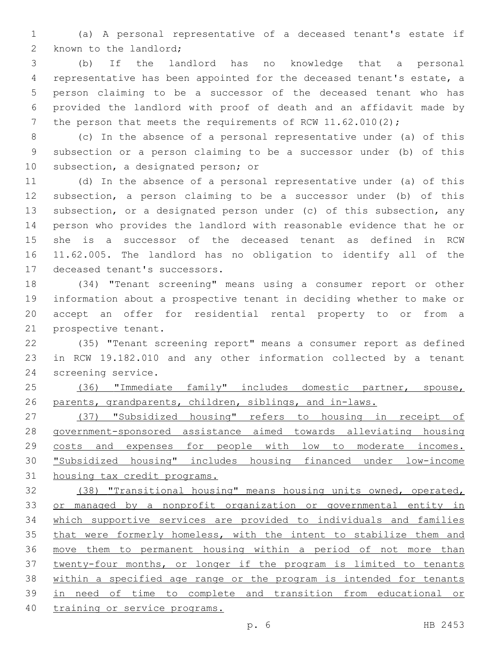(a) A personal representative of a deceased tenant's estate if 2 known to the landlord;

 (b) If the landlord has no knowledge that a personal representative has been appointed for the deceased tenant's estate, a person claiming to be a successor of the deceased tenant who has provided the landlord with proof of death and an affidavit made by 7 the person that meets the requirements of RCW 11.62.010(2);

 (c) In the absence of a personal representative under (a) of this subsection or a person claiming to be a successor under (b) of this 10 subsection, a designated person; or

 (d) In the absence of a personal representative under (a) of this subsection, a person claiming to be a successor under (b) of this subsection, or a designated person under (c) of this subsection, any person who provides the landlord with reasonable evidence that he or she is a successor of the deceased tenant as defined in RCW 11.62.005. The landlord has no obligation to identify all of the 17 deceased tenant's successors.

 (34) "Tenant screening" means using a consumer report or other information about a prospective tenant in deciding whether to make or accept an offer for residential rental property to or from a 21 prospective tenant.

 (35) "Tenant screening report" means a consumer report as defined in RCW 19.182.010 and any other information collected by a tenant 24 screening service.

 (36) "Immediate family" includes domestic partner, spouse, 26 parents, grandparents, children, siblings, and in-laws.

 (37) "Subsidized housing" refers to housing in receipt of government-sponsored assistance aimed towards alleviating housing costs and expenses for people with low to moderate incomes. "Subsidized housing" includes housing financed under low-income housing tax credit programs.

 (38) "Transitional housing" means housing units owned, operated, or managed by a nonprofit organization or governmental entity in which supportive services are provided to individuals and families that were formerly homeless, with the intent to stabilize them and move them to permanent housing within a period of not more than twenty-four months, or longer if the program is limited to tenants within a specified age range or the program is intended for tenants in need of time to complete and transition from educational or training or service programs.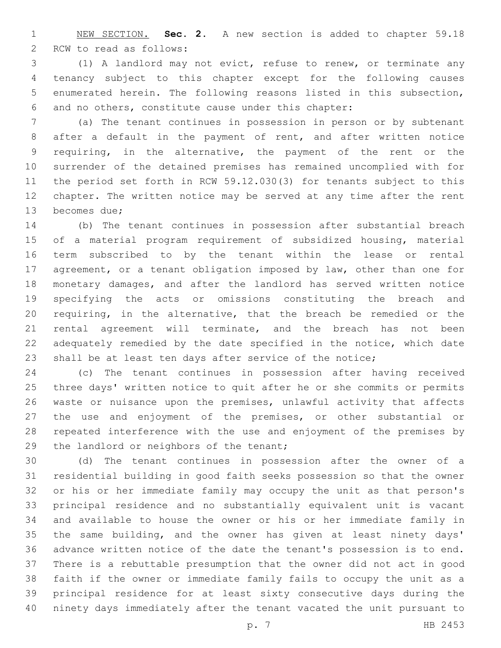NEW SECTION. **Sec. 2.** A new section is added to chapter 59.18 2 RCW to read as follows:

 (1) A landlord may not evict, refuse to renew, or terminate any tenancy subject to this chapter except for the following causes enumerated herein. The following reasons listed in this subsection, and no others, constitute cause under this chapter:

 (a) The tenant continues in possession in person or by subtenant after a default in the payment of rent, and after written notice requiring, in the alternative, the payment of the rent or the surrender of the detained premises has remained uncomplied with for the period set forth in RCW 59.12.030(3) for tenants subject to this chapter. The written notice may be served at any time after the rent 13 becomes due;

 (b) The tenant continues in possession after substantial breach of a material program requirement of subsidized housing, material term subscribed to by the tenant within the lease or rental agreement, or a tenant obligation imposed by law, other than one for monetary damages, and after the landlord has served written notice specifying the acts or omissions constituting the breach and requiring, in the alternative, that the breach be remedied or the rental agreement will terminate, and the breach has not been adequately remedied by the date specified in the notice, which date shall be at least ten days after service of the notice;

 (c) The tenant continues in possession after having received three days' written notice to quit after he or she commits or permits waste or nuisance upon the premises, unlawful activity that affects the use and enjoyment of the premises, or other substantial or repeated interference with the use and enjoyment of the premises by 29 the landlord or neighbors of the tenant;

 (d) The tenant continues in possession after the owner of a residential building in good faith seeks possession so that the owner or his or her immediate family may occupy the unit as that person's principal residence and no substantially equivalent unit is vacant and available to house the owner or his or her immediate family in the same building, and the owner has given at least ninety days' advance written notice of the date the tenant's possession is to end. There is a rebuttable presumption that the owner did not act in good faith if the owner or immediate family fails to occupy the unit as a principal residence for at least sixty consecutive days during the ninety days immediately after the tenant vacated the unit pursuant to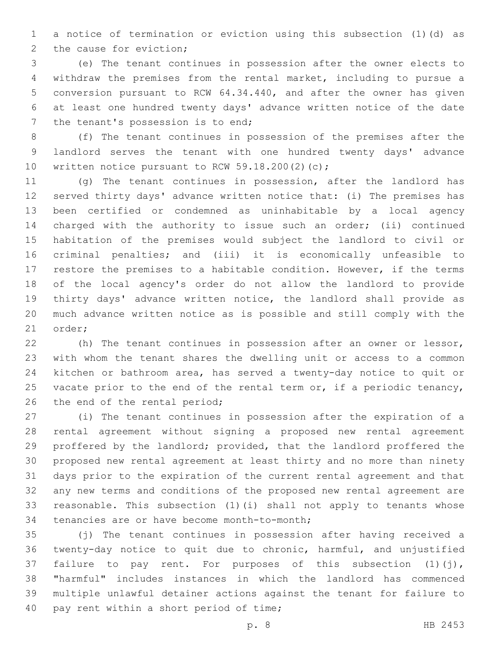a notice of termination or eviction using this subsection (1)(d) as 2 the cause for eviction;

 (e) The tenant continues in possession after the owner elects to withdraw the premises from the rental market, including to pursue a conversion pursuant to RCW 64.34.440, and after the owner has given at least one hundred twenty days' advance written notice of the date 7 the tenant's possession is to end;

 (f) The tenant continues in possession of the premises after the landlord serves the tenant with one hundred twenty days' advance 10 written notice pursuant to RCW 59.18.200 $(2)(c)$ ;

 (g) The tenant continues in possession, after the landlord has served thirty days' advance written notice that: (i) The premises has been certified or condemned as uninhabitable by a local agency charged with the authority to issue such an order; (ii) continued habitation of the premises would subject the landlord to civil or criminal penalties; and (iii) it is economically unfeasible to restore the premises to a habitable condition. However, if the terms of the local agency's order do not allow the landlord to provide thirty days' advance written notice, the landlord shall provide as much advance written notice as is possible and still comply with the 21 order;

 (h) The tenant continues in possession after an owner or lessor, with whom the tenant shares the dwelling unit or access to a common kitchen or bathroom area, has served a twenty-day notice to quit or 25 vacate prior to the end of the rental term or, if a periodic tenancy, 26 the end of the rental period;

 (i) The tenant continues in possession after the expiration of a rental agreement without signing a proposed new rental agreement proffered by the landlord; provided, that the landlord proffered the proposed new rental agreement at least thirty and no more than ninety days prior to the expiration of the current rental agreement and that any new terms and conditions of the proposed new rental agreement are reasonable. This subsection (1)(i) shall not apply to tenants whose 34 tenancies are or have become month-to-month;

 (j) The tenant continues in possession after having received a twenty-day notice to quit due to chronic, harmful, and unjustified 37 failure to pay rent. For purposes of this subsection (1)(j), "harmful" includes instances in which the landlord has commenced multiple unlawful detainer actions against the tenant for failure to 40 pay rent within a short period of time;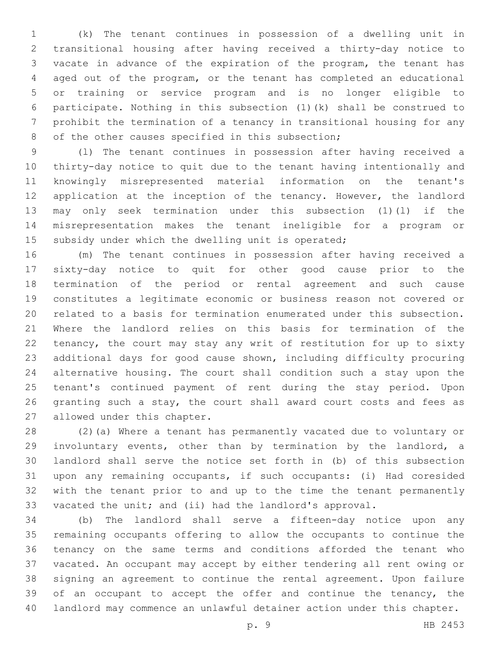(k) The tenant continues in possession of a dwelling unit in transitional housing after having received a thirty-day notice to vacate in advance of the expiration of the program, the tenant has aged out of the program, or the tenant has completed an educational or training or service program and is no longer eligible to participate. Nothing in this subsection (1)(k) shall be construed to prohibit the termination of a tenancy in transitional housing for any 8 of the other causes specified in this subsection;

 (l) The tenant continues in possession after having received a thirty-day notice to quit due to the tenant having intentionally and knowingly misrepresented material information on the tenant's application at the inception of the tenancy. However, the landlord may only seek termination under this subsection (1)(l) if the misrepresentation makes the tenant ineligible for a program or 15 subsidy under which the dwelling unit is operated;

 (m) The tenant continues in possession after having received a sixty-day notice to quit for other good cause prior to the termination of the period or rental agreement and such cause constitutes a legitimate economic or business reason not covered or related to a basis for termination enumerated under this subsection. Where the landlord relies on this basis for termination of the tenancy, the court may stay any writ of restitution for up to sixty additional days for good cause shown, including difficulty procuring alternative housing. The court shall condition such a stay upon the tenant's continued payment of rent during the stay period. Upon 26 granting such a stay, the court shall award court costs and fees as 27 allowed under this chapter.

 (2)(a) Where a tenant has permanently vacated due to voluntary or involuntary events, other than by termination by the landlord, a landlord shall serve the notice set forth in (b) of this subsection upon any remaining occupants, if such occupants: (i) Had coresided with the tenant prior to and up to the time the tenant permanently vacated the unit; and (ii) had the landlord's approval.

 (b) The landlord shall serve a fifteen-day notice upon any remaining occupants offering to allow the occupants to continue the tenancy on the same terms and conditions afforded the tenant who vacated. An occupant may accept by either tendering all rent owing or signing an agreement to continue the rental agreement. Upon failure 39 of an occupant to accept the offer and continue the tenancy, the landlord may commence an unlawful detainer action under this chapter.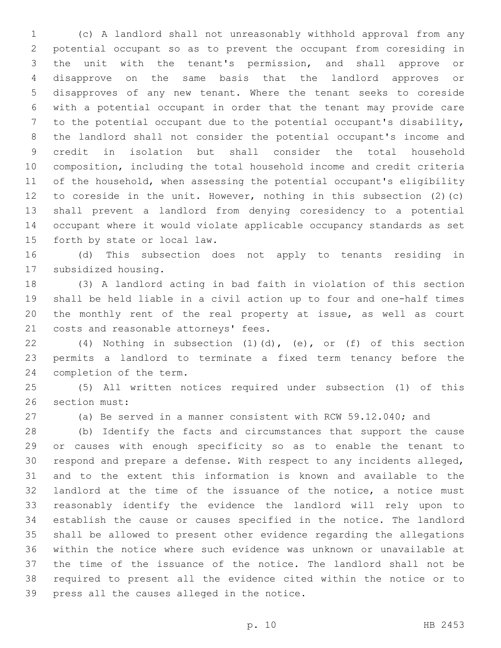(c) A landlord shall not unreasonably withhold approval from any potential occupant so as to prevent the occupant from coresiding in the unit with the tenant's permission, and shall approve or disapprove on the same basis that the landlord approves or disapproves of any new tenant. Where the tenant seeks to coreside with a potential occupant in order that the tenant may provide care to the potential occupant due to the potential occupant's disability, the landlord shall not consider the potential occupant's income and credit in isolation but shall consider the total household composition, including the total household income and credit criteria of the household, when assessing the potential occupant's eligibility to coreside in the unit. However, nothing in this subsection (2)(c) shall prevent a landlord from denying coresidency to a potential occupant where it would violate applicable occupancy standards as set 15 forth by state or local law.

 (d) This subsection does not apply to tenants residing in 17 subsidized housing.

 (3) A landlord acting in bad faith in violation of this section shall be held liable in a civil action up to four and one-half times the monthly rent of the real property at issue, as well as court 21 costs and reasonable attorneys' fees.

 (4) Nothing in subsection (1)(d), (e), or (f) of this section permits a landlord to terminate a fixed term tenancy before the 24 completion of the term.

 (5) All written notices required under subsection (1) of this 26 section must:

(a) Be served in a manner consistent with RCW 59.12.040; and

 (b) Identify the facts and circumstances that support the cause or causes with enough specificity so as to enable the tenant to respond and prepare a defense. With respect to any incidents alleged, and to the extent this information is known and available to the landlord at the time of the issuance of the notice, a notice must reasonably identify the evidence the landlord will rely upon to establish the cause or causes specified in the notice. The landlord shall be allowed to present other evidence regarding the allegations within the notice where such evidence was unknown or unavailable at the time of the issuance of the notice. The landlord shall not be required to present all the evidence cited within the notice or to 39 press all the causes alleged in the notice.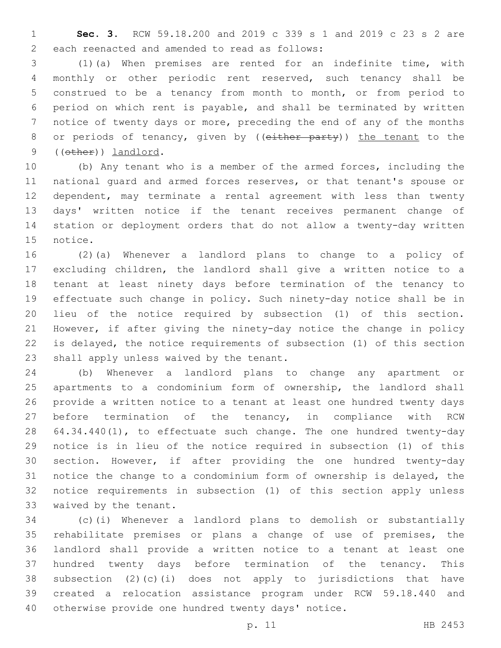**Sec. 3.** RCW 59.18.200 and 2019 c 339 s 1 and 2019 c 23 s 2 are 2 each reenacted and amended to read as follows:

 (1)(a) When premises are rented for an indefinite time, with monthly or other periodic rent reserved, such tenancy shall be construed to be a tenancy from month to month, or from period to period on which rent is payable, and shall be terminated by written notice of twenty days or more, preceding the end of any of the months 8 or periods of tenancy, given by ((either party)) the tenant to the 9 ((other)) landlord.

 (b) Any tenant who is a member of the armed forces, including the national guard and armed forces reserves, or that tenant's spouse or dependent, may terminate a rental agreement with less than twenty days' written notice if the tenant receives permanent change of station or deployment orders that do not allow a twenty-day written 15 notice.

 (2)(a) Whenever a landlord plans to change to a policy of excluding children, the landlord shall give a written notice to a tenant at least ninety days before termination of the tenancy to effectuate such change in policy. Such ninety-day notice shall be in lieu of the notice required by subsection (1) of this section. However, if after giving the ninety-day notice the change in policy is delayed, the notice requirements of subsection (1) of this section 23 shall apply unless waived by the tenant.

 (b) Whenever a landlord plans to change any apartment or apartments to a condominium form of ownership, the landlord shall provide a written notice to a tenant at least one hundred twenty days before termination of the tenancy, in compliance with RCW 28 64.34.440(1), to effectuate such change. The one hundred twenty-day notice is in lieu of the notice required in subsection (1) of this section. However, if after providing the one hundred twenty-day notice the change to a condominium form of ownership is delayed, the notice requirements in subsection (1) of this section apply unless 33 waived by the tenant.

 (c)(i) Whenever a landlord plans to demolish or substantially rehabilitate premises or plans a change of use of premises, the landlord shall provide a written notice to a tenant at least one hundred twenty days before termination of the tenancy. This subsection (2)(c)(i) does not apply to jurisdictions that have created a relocation assistance program under RCW 59.18.440 and otherwise provide one hundred twenty days' notice.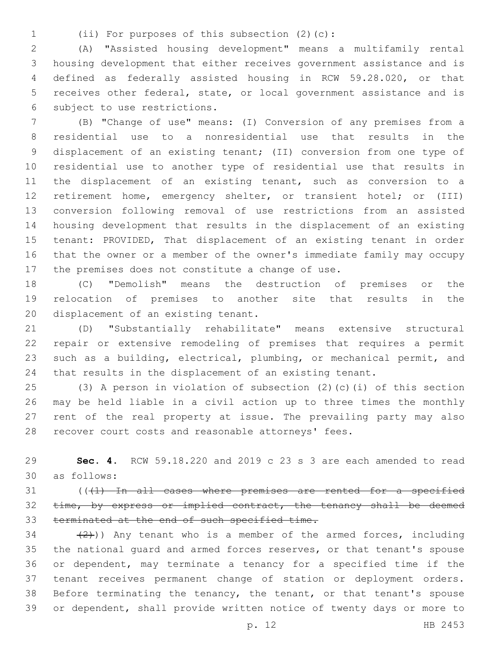(ii) For purposes of this subsection (2)(c):1

 (A) "Assisted housing development" means a multifamily rental housing development that either receives government assistance and is defined as federally assisted housing in RCW 59.28.020, or that receives other federal, state, or local government assistance and is 6 subject to use restrictions.

 (B) "Change of use" means: (I) Conversion of any premises from a residential use to a nonresidential use that results in the displacement of an existing tenant; (II) conversion from one type of residential use to another type of residential use that results in the displacement of an existing tenant, such as conversion to a retirement home, emergency shelter, or transient hotel; or (III) conversion following removal of use restrictions from an assisted housing development that results in the displacement of an existing tenant: PROVIDED, That displacement of an existing tenant in order that the owner or a member of the owner's immediate family may occupy 17 the premises does not constitute a change of use.

 (C) "Demolish" means the destruction of premises or the relocation of premises to another site that results in the 20 displacement of an existing tenant.

 (D) "Substantially rehabilitate" means extensive structural repair or extensive remodeling of premises that requires a permit such as a building, electrical, plumbing, or mechanical permit, and that results in the displacement of an existing tenant.

 (3) A person in violation of subsection (2)(c)(i) of this section may be held liable in a civil action up to three times the monthly rent of the real property at issue. The prevailing party may also recover court costs and reasonable attorneys' fees.

 **Sec. 4.** RCW 59.18.220 and 2019 c 23 s 3 are each amended to read as follows:30

 (((1) In all cases where premises are rented for a specified 32 time, by express or implied contract, the tenancy shall be deemed terminated at the end of such specified time.

 $(2)$ )) Any tenant who is a member of the armed forces, including the national guard and armed forces reserves, or that tenant's spouse or dependent, may terminate a tenancy for a specified time if the tenant receives permanent change of station or deployment orders. Before terminating the tenancy, the tenant, or that tenant's spouse or dependent, shall provide written notice of twenty days or more to

p. 12 HB 2453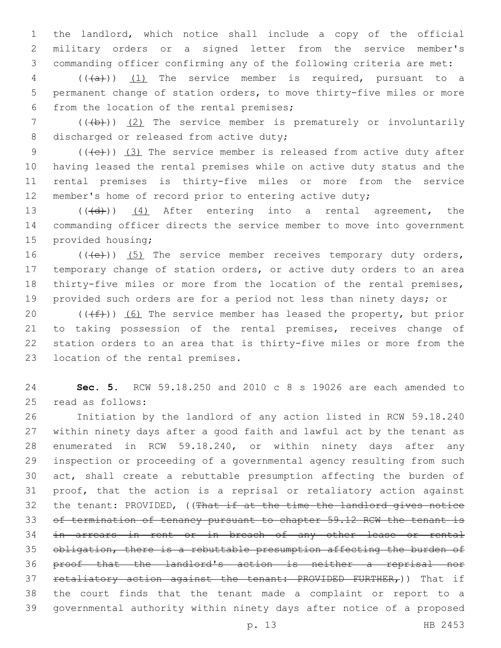the landlord, which notice shall include a copy of the official military orders or a signed letter from the service member's commanding officer confirming any of the following criteria are met:

 (( $(a+)$ )) <u>(1)</u> The service member is required, pursuant to a permanent change of station orders, to move thirty-five miles or more 6 from the location of the rental premises;

7 (((b)) (2) The service member is prematurely or involuntarily 8 discharged or released from active duty;

 $((+e))$   $(3)$  The service member is released from active duty after having leased the rental premises while on active duty status and the rental premises is thirty-five miles or more from the service member's home of record prior to entering active duty;

13 (((d)) (4) After entering into a rental agreement, the commanding officer directs the service member to move into government 15 provided housing;

16 (((e)) (5) The service member receives temporary duty orders, temporary change of station orders, or active duty orders to an area thirty-five miles or more from the location of the rental premises, provided such orders are for a period not less than ninety days; or

 $((\text{#}))$  (6) The service member has leased the property, but prior to taking possession of the rental premises, receives change of station orders to an area that is thirty-five miles or more from the 23 location of the rental premises.

 **Sec. 5.** RCW 59.18.250 and 2010 c 8 s 19026 are each amended to 25 read as follows:

 Initiation by the landlord of any action listed in RCW 59.18.240 within ninety days after a good faith and lawful act by the tenant as enumerated in RCW 59.18.240, or within ninety days after any inspection or proceeding of a governmental agency resulting from such act, shall create a rebuttable presumption affecting the burden of proof, that the action is a reprisal or retaliatory action against the tenant: PROVIDED, ((That if at the time the landlord gives notice of termination of tenancy pursuant to chapter 59.12 RCW the tenant is 34 in arrears in rent or in breach of any other lease or rental obligation, there is a rebuttable presumption affecting the burden of proof that the landlord's action is neither a reprisal nor 37 retaliatory action against the tenant: PROVIDED FURTHER,)) That if the court finds that the tenant made a complaint or report to a governmental authority within ninety days after notice of a proposed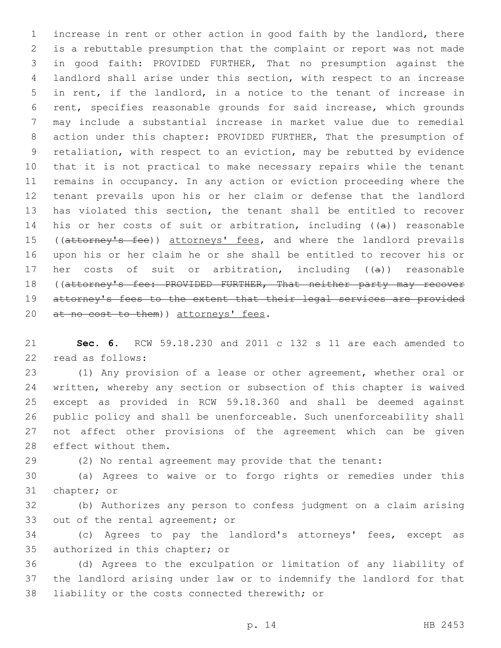increase in rent or other action in good faith by the landlord, there is a rebuttable presumption that the complaint or report was not made in good faith: PROVIDED FURTHER, That no presumption against the landlord shall arise under this section, with respect to an increase in rent, if the landlord, in a notice to the tenant of increase in rent, specifies reasonable grounds for said increase, which grounds may include a substantial increase in market value due to remedial action under this chapter: PROVIDED FURTHER, That the presumption of retaliation, with respect to an eviction, may be rebutted by evidence that it is not practical to make necessary repairs while the tenant remains in occupancy. In any action or eviction proceeding where the tenant prevails upon his or her claim or defense that the landlord has violated this section, the tenant shall be entitled to recover 14 his or her costs of suit or arbitration, including  $((a))$  reasonable 15 ((attorney's fee)) attorneys' fees, and where the landlord prevails upon his or her claim he or she shall be entitled to recover his or her costs of suit or arbitration, including ((a)) reasonable 18 ((attorney's fee: PROVIDED FURTHER, That neither party may recover attorney's fees to the extent that their legal services are provided 20 at no cost to them) attorneys' fees.

 **Sec. 6.** RCW 59.18.230 and 2011 c 132 s 11 are each amended to 22 read as follows:

 (1) Any provision of a lease or other agreement, whether oral or written, whereby any section or subsection of this chapter is waived except as provided in RCW 59.18.360 and shall be deemed against public policy and shall be unenforceable. Such unenforceability shall not affect other provisions of the agreement which can be given 28 effect without them.

(2) No rental agreement may provide that the tenant:

 (a) Agrees to waive or to forgo rights or remedies under this 31 chapter; or

 (b) Authorizes any person to confess judgment on a claim arising 33 out of the rental agreement; or

 (c) Agrees to pay the landlord's attorneys' fees, except as 35 authorized in this chapter; or

 (d) Agrees to the exculpation or limitation of any liability of the landlord arising under law or to indemnify the landlord for that 38 liability or the costs connected therewith; or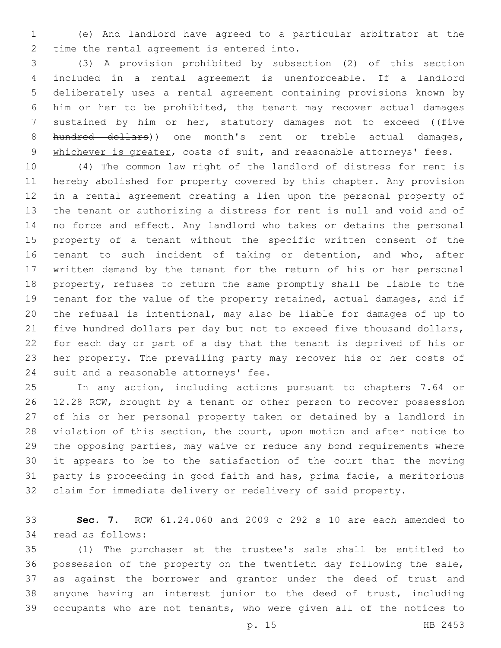(e) And landlord have agreed to a particular arbitrator at the 2 time the rental agreement is entered into.

 (3) A provision prohibited by subsection (2) of this section included in a rental agreement is unenforceable. If a landlord deliberately uses a rental agreement containing provisions known by him or her to be prohibited, the tenant may recover actual damages 7 sustained by him or her, statutory damages not to exceed ((five 8 hundred dollars)) one month's rent or treble actual damages, 9 whichever is greater, costs of suit, and reasonable attorneys' fees.

 (4) The common law right of the landlord of distress for rent is hereby abolished for property covered by this chapter. Any provision in a rental agreement creating a lien upon the personal property of the tenant or authorizing a distress for rent is null and void and of no force and effect. Any landlord who takes or detains the personal property of a tenant without the specific written consent of the tenant to such incident of taking or detention, and who, after written demand by the tenant for the return of his or her personal property, refuses to return the same promptly shall be liable to the tenant for the value of the property retained, actual damages, and if the refusal is intentional, may also be liable for damages of up to five hundred dollars per day but not to exceed five thousand dollars, for each day or part of a day that the tenant is deprived of his or her property. The prevailing party may recover his or her costs of 24 suit and a reasonable attorneys' fee.

 In any action, including actions pursuant to chapters 7.64 or 12.28 RCW, brought by a tenant or other person to recover possession of his or her personal property taken or detained by a landlord in violation of this section, the court, upon motion and after notice to the opposing parties, may waive or reduce any bond requirements where it appears to be to the satisfaction of the court that the moving party is proceeding in good faith and has, prima facie, a meritorious claim for immediate delivery or redelivery of said property.

 **Sec. 7.** RCW 61.24.060 and 2009 c 292 s 10 are each amended to 34 read as follows:

 (1) The purchaser at the trustee's sale shall be entitled to possession of the property on the twentieth day following the sale, as against the borrower and grantor under the deed of trust and anyone having an interest junior to the deed of trust, including occupants who are not tenants, who were given all of the notices to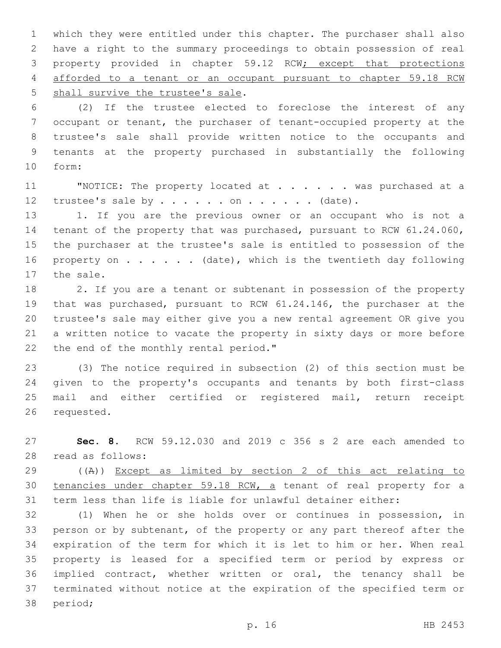which they were entitled under this chapter. The purchaser shall also have a right to the summary proceedings to obtain possession of real property provided in chapter 59.12 RCW; except that protections afforded to a tenant or an occupant pursuant to chapter 59.18 RCW 5 shall survive the trustee's sale.

 (2) If the trustee elected to foreclose the interest of any occupant or tenant, the purchaser of tenant-occupied property at the trustee's sale shall provide written notice to the occupants and tenants at the property purchased in substantially the following form:10

11 WOTICE: The property located at . . . . . was purchased at a 12 trustee's sale by  $\ldots$  . . . . on . . . . . . (date).

 1. If you are the previous owner or an occupant who is not a tenant of the property that was purchased, pursuant to RCW 61.24.060, the purchaser at the trustee's sale is entitled to possession of the 16 property on . . . . . (date), which is the twentieth day following 17 the sale.

 2. If you are a tenant or subtenant in possession of the property that was purchased, pursuant to RCW 61.24.146, the purchaser at the trustee's sale may either give you a new rental agreement OR give you a written notice to vacate the property in sixty days or more before 22 the end of the monthly rental period."

 (3) The notice required in subsection (2) of this section must be given to the property's occupants and tenants by both first-class mail and either certified or registered mail, return receipt 26 requested.

 **Sec. 8.** RCW 59.12.030 and 2019 c 356 s 2 are each amended to 28 read as follows:

 ((A)) Except as limited by section 2 of this act relating to tenancies under chapter 59.18 RCW, a tenant of real property for a term less than life is liable for unlawful detainer either:

 (1) When he or she holds over or continues in possession, in person or by subtenant, of the property or any part thereof after the expiration of the term for which it is let to him or her. When real property is leased for a specified term or period by express or implied contract, whether written or oral, the tenancy shall be terminated without notice at the expiration of the specified term or 38 period;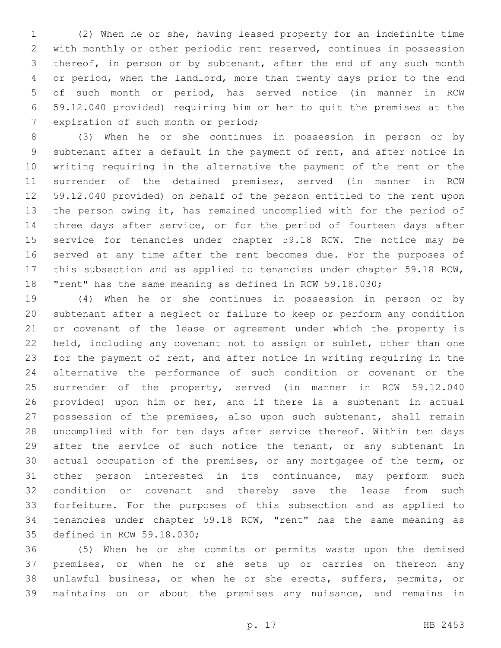(2) When he or she, having leased property for an indefinite time with monthly or other periodic rent reserved, continues in possession 3 thereof, in person or by subtenant, after the end of any such month or period, when the landlord, more than twenty days prior to the end of such month or period, has served notice (in manner in RCW 59.12.040 provided) requiring him or her to quit the premises at the 7 expiration of such month or period;

 (3) When he or she continues in possession in person or by subtenant after a default in the payment of rent, and after notice in writing requiring in the alternative the payment of the rent or the surrender of the detained premises, served (in manner in RCW 59.12.040 provided) on behalf of the person entitled to the rent upon the person owing it, has remained uncomplied with for the period of 14 three days after service, or for the period of fourteen days after service for tenancies under chapter 59.18 RCW. The notice may be served at any time after the rent becomes due. For the purposes of this subsection and as applied to tenancies under chapter 59.18 RCW, "rent" has the same meaning as defined in RCW 59.18.030;

 (4) When he or she continues in possession in person or by subtenant after a neglect or failure to keep or perform any condition or covenant of the lease or agreement under which the property is held, including any covenant not to assign or sublet, other than one for the payment of rent, and after notice in writing requiring in the alternative the performance of such condition or covenant or the surrender of the property, served (in manner in RCW 59.12.040 provided) upon him or her, and if there is a subtenant in actual possession of the premises, also upon such subtenant, shall remain uncomplied with for ten days after service thereof. Within ten days 29 after the service of such notice the tenant, or any subtenant in actual occupation of the premises, or any mortgagee of the term, or other person interested in its continuance, may perform such condition or covenant and thereby save the lease from such forfeiture. For the purposes of this subsection and as applied to tenancies under chapter 59.18 RCW, "rent" has the same meaning as 35 defined in RCW 59.18.030;

 (5) When he or she commits or permits waste upon the demised premises, or when he or she sets up or carries on thereon any unlawful business, or when he or she erects, suffers, permits, or maintains on or about the premises any nuisance, and remains in